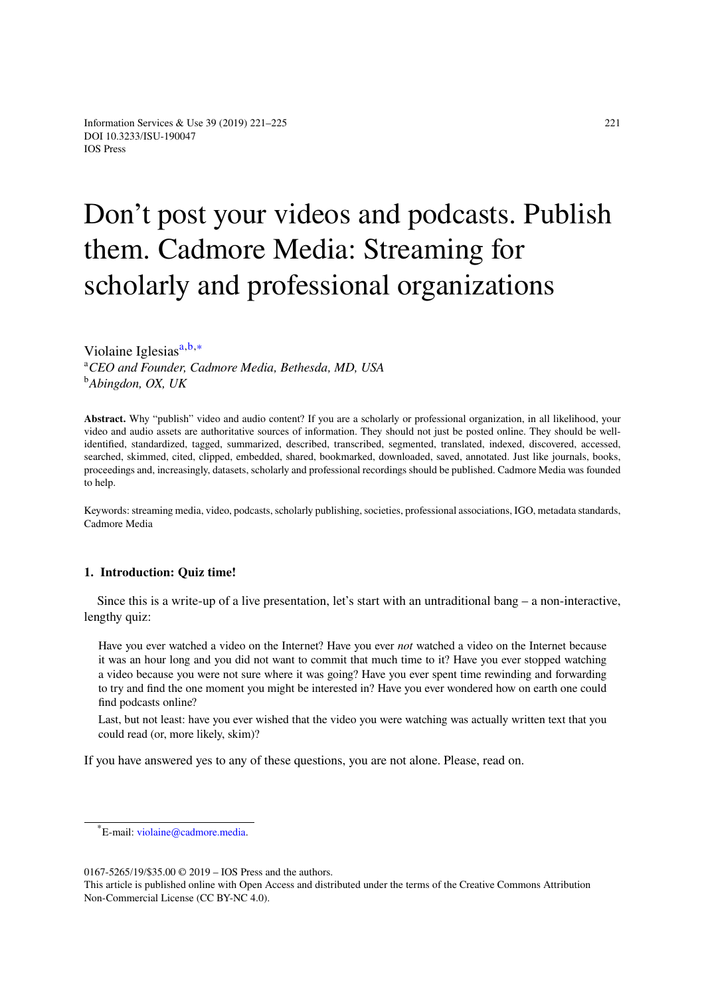# [Don't pos](http://dx.doi.org/10.3233/ISU-190047)t your videos and podcasts. Publish them. Cadmore Media: Streaming for scholarly and professional organizations

Violaine Iglesias<sup>a,b,∗</sup>

<sup>a</sup>*CEO and Founder, Cadmore Media, Bethesda, MD, USA* <sup>b</sup>*Abingdon, OX, UK*

**Abstract.** Why "publish" [vi](#page-0-0)deo and audio content? If you are a scholarly or professional organization, in all likelihood, your video and audio assets are authoritative sources of information. They should not just be posted online. They should be wellidentified, standardized, tagged, summarized, described, transcribed, segmented, translated, indexed, discovered, accessed, searched, skimmed, cited, clipped, embedded, shared, bookmarked, downloaded, saved, annotated. Just like journals, books, proceedings and, increasingly, datasets, scholarly and professional recordings should be published. Cadmore Media was founded to help.

Keywords: streaming media, video, podcasts, scholarly publishing, societies, professional associations, IGO, metadata standards, Cadmore Media

#### **1. Introduction: Quiz time!**

Since this is a write-up of a live presentation, let's start with an untraditional bang – a non-interactive, lengthy quiz:

Have you ever watched a video on the Internet? Have you ever *not* watched a video on the Internet because it was an hour long and you did not want to commit that much time to it? Have you ever stopped watching a video because you were not sure where it was going? Have you ever spent time rewinding and forwarding to try and find the one moment you might be interested in? Have you ever wondered how on earth one could find podcasts online?

Last, but not least: have you ever wished that the video you were watching was actually written text that you could read (or, more likely, skim)?

If you have answered yes to any of these questions, you are not alone. Please, read on.

<span id="page-0-0"></span>This article is published online with Open Access and distributed under the terms of the Creative Commons Attribution Non-Comm[ercial License \(CC BY-NC](mailto:violaine@cadmore.media) 4.0).

<sup>\*</sup>E-mail: violaine@cadmore.media.

<sup>0167-5265/19/\$35.00 © 2019 –</sup> IOS Press and the authors.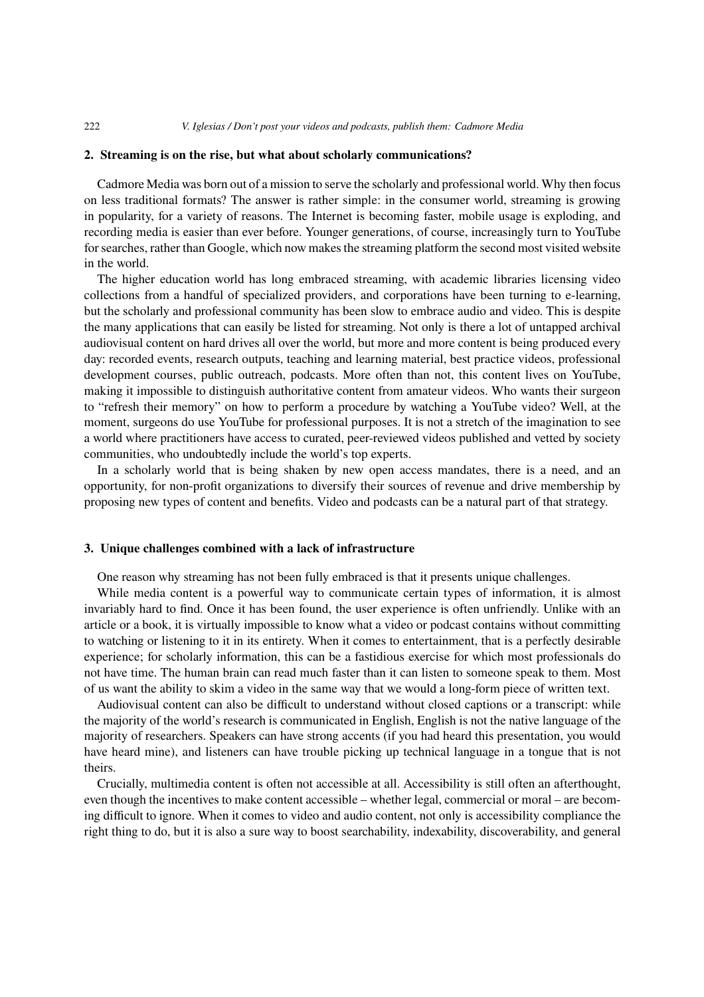#### **2. Streaming is on the rise, but what about scholarly communications?**

Cadmore Media was born out of a mission to serve the scholarly and professional world. Why then focus on less traditional formats? The answer is rather simple: in the consumer world, streaming is growing in popularity, for a variety of reasons. The Internet is becoming faster, mobile usage is exploding, and recording media is easier than ever before. Younger generations, of course, increasingly turn to YouTube for searches, rather than Google, which now makes the streaming platform the second most visited website in the world.

The higher education world has long embraced streaming, with academic libraries licensing video collections from a handful of specialized providers, and corporations have been turning to e-learning, but the scholarly and professional community has been slow to embrace audio and video. This is despite the many applications that can easily be listed for streaming. Not only is there a lot of untapped archival audiovisual content on hard drives all over the world, but more and more content is being produced every day: recorded events, research outputs, teaching and learning material, best practice videos, professional development courses, public outreach, podcasts. More often than not, this content lives on YouTube, making it impossible to distinguish authoritative content from amateur videos. Who wants their surgeon to "refresh their memory" on how to perform a procedure by watching a YouTube video? Well, at the moment, surgeons do use YouTube for professional purposes. It is not a stretch of the imagination to see a world where practitioners have access to curated, peer-reviewed videos published and vetted by society communities, who undoubtedly include the world's top experts.

In a scholarly world that is being shaken by new open access mandates, there is a need, and an opportunity, for non-profit organizations to diversify their sources of revenue and drive membership by proposing new types of content and benefits. Video and podcasts can be a natural part of that strategy.

#### **3. Unique challenges combined with a lack of infrastructure**

One reason why streaming has not been fully embraced is that it presents unique challenges.

While media content is a powerful way to communicate certain types of information, it is almost invariably hard to find. Once it has been found, the user experience is often unfriendly. Unlike with an article or a book, it is virtually impossible to know what a video or podcast contains without committing to watching or listening to it in its entirety. When it comes to entertainment, that is a perfectly desirable experience; for scholarly information, this can be a fastidious exercise for which most professionals do not have time. The human brain can read much faster than it can listen to someone speak to them. Most of us want the ability to skim a video in the same way that we would a long-form piece of written text.

Audiovisual content can also be difficult to understand without closed captions or a transcript: while the majority of the world's research is communicated in English, English is not the native language of the majority of researchers. Speakers can have strong accents (if you had heard this presentation, you would have heard mine), and listeners can have trouble picking up technical language in a tongue that is not theirs.

Crucially, multimedia content is often not accessible at all. Accessibility is still often an afterthought, even though the incentives to make content accessible – whether legal, commercial or moral – are becoming difficult to ignore. When it comes to video and audio content, not only is accessibility compliance the right thing to do, but it is also a sure way to boost searchability, indexability, discoverability, and general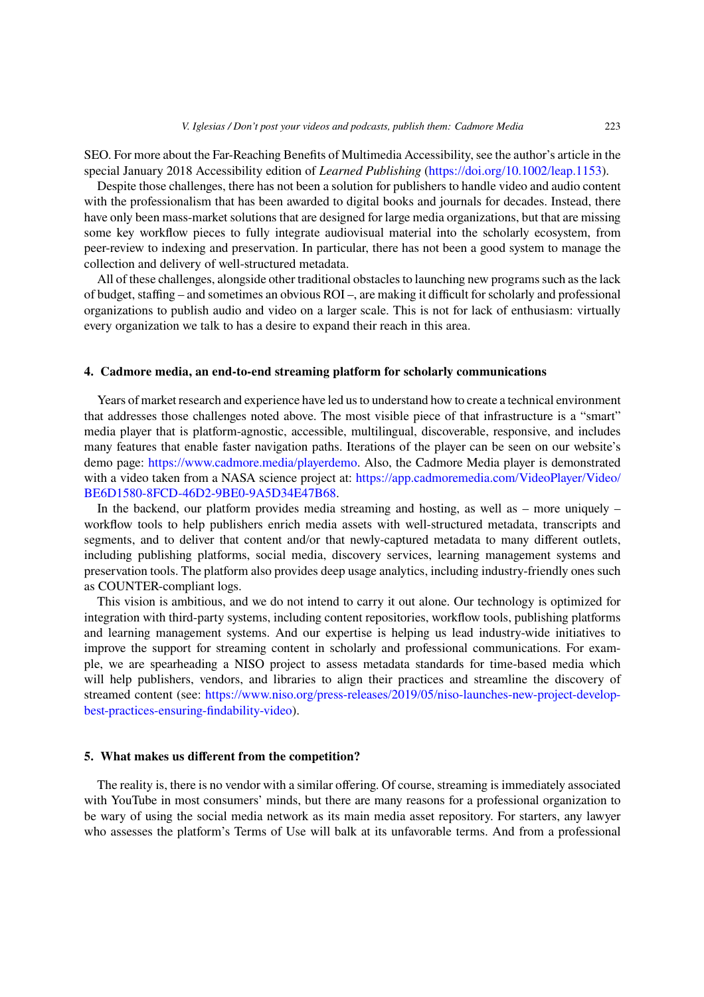SEO. For more about the Far-Reaching Benefits of Multimedia Accessibility, see the author's article in the special January 2018 Accessibility edition of *Learned Publishing* (https://doi.org/10.1002/leap.1153).

Despite those challenges, there has not been a solution for publishers to handle video and audio content with the professionalism that has been awarded to digital books and journals for decades. Instead, there have only been mass-market solutions that are designed for large media organizations, but that are missing some key workflow pieces to fully integrate audiovisual materia[l into the scholarly ecosystem, fr](https://doi.org/10.1002/leap.1153)om peer-review to indexing and preservation. In particular, there has not been a good system to manage the collection and delivery of well-structured metadata.

All of these challenges, alongside other traditional obstacles to launching new programs such as the lack of budget, staffing – and sometimes an obvious ROI –, are making it difficult for scholarly and professional organizations to publish audio and video on a larger scale. This is not for lack of enthusiasm: virtually every organization we talk to has a desire to expand their reach in this area.

## **4. Cadmore media, an end-to-end streaming platform for scholarly communications**

Years of market research and experience have led us to understand how to create a technical environment that addresses those challenges noted above. The most visible piece of that infrastructure is a "smart" media player that is platform-agnostic, accessible, multilingual, discoverable, responsive, and includes many features that enable faster navigation paths. Iterations of the player can be seen on our website's demo page: https://www.cadmore.media/playerdemo. Also, the Cadmore Media player is demonstrated with a video taken from a NASA science project at: https://app.cadmoremedia.com/VideoPlayer/Video/ BE6D1580-8FCD-46D2-9BE0-9A5D34E47B68.

In the backend, our platform provides media streaming and hosting, as well as – more uniquely – workflow to[ols to help publishers enrich media ass](https://www.cadmore.media/playerdemo)ets with well-structured metadata, transcripts and segments, and to deliver that content and/or that [newly-captured metadata to many different outlets,](https://app.cadmoremedia.com/VideoPlayer/Video/BE6D1580-8FCD-46D2-9BE0-9A5D34E47B68) [including publishing platforms, social media, d](https://app.cadmoremedia.com/VideoPlayer/Video/BE6D1580-8FCD-46D2-9BE0-9A5D34E47B68)iscovery services, learning management systems and preservation tools. The platform also provides deep usage analytics, including industry-friendly ones such as COUNTER-compliant logs.

This vision is ambitious, and we do not intend to carry it out alone. Our technology is optimized for integration with third-party systems, including content repositories, workflow tools, publishing platforms and learning management systems. And our expertise is helping us lead industry-wide initiatives to improve the support for streaming content in scholarly and professional communications. For example, we are spearheading a NISO project to assess metadata standards for time-based media which will help publishers, vendors, and libraries to align their practices and streamline the discovery of streamed content (see: https://www.niso.org/press-releases/2019/05/niso-launches-new-project-developbest-practices-ensuring-findability-video).

### **5. What makes us di[fferent from the competition?](https://www.niso.org/press-releases/2019/05/niso-launches-new-project-develop-best-practices-ensuring-findability-video)**

The reality is, there is no vendor with a similar offering. Of course, streaming is immediately associated with YouTube in most consumers' minds, but there are many reasons for a professional organization to be wary of using the social media network as its main media asset repository. For starters, any lawyer who assesses the platform's Terms of Use will balk at its unfavorable terms. And from a professional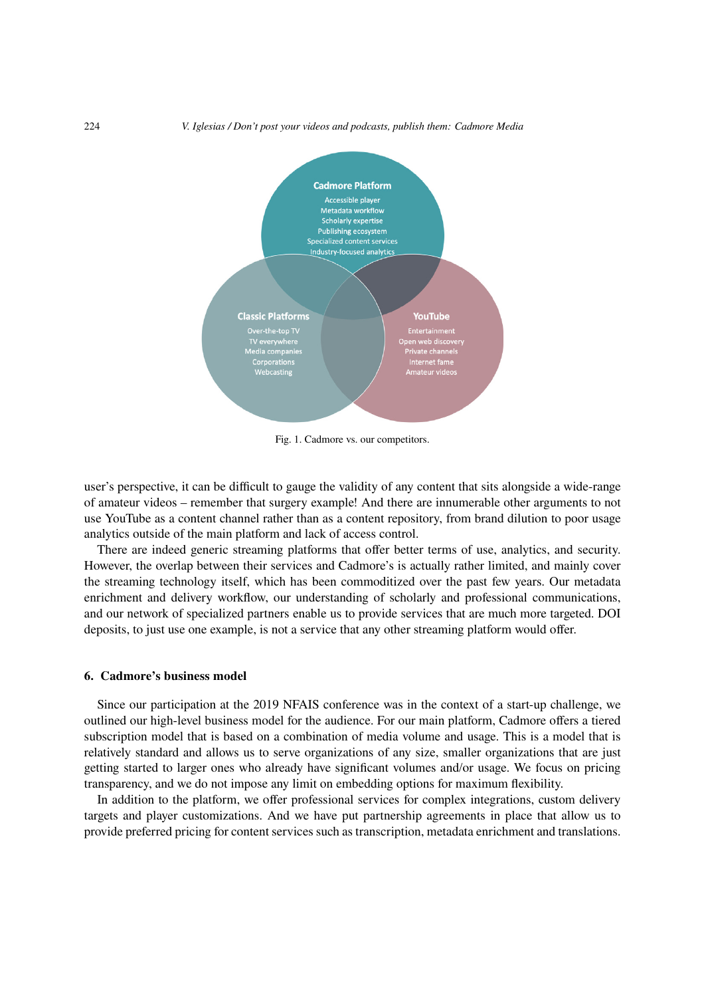

Fig. 1. Cadmore vs. our competitors.

user's perspective, it can be difficult to gauge the validity of any content that sits alongside a wide-range of amateur videos – remember that surgery example! And there are innumerable other arguments to not use YouTube as a content channel rather than as a content repository, from brand dilution to poor usage analytics outside of the main platform and lack of access control.

There are indeed generic streaming platforms that offer better terms of use, analytics, and security. However, the overlap between their services and Cadmore's is actually rather limited, and mainly cover the streaming technology itself, which has been commoditized over the past few years. Our metadata enrichment and delivery workflow, our understanding of scholarly and professional communications, and our network of specialized partners enable us to provide services that are much more targeted. DOI deposits, to just use one example, is not a service that any other streaming platform would offer.

## **6. Cadmore's business model**

Since our participation at the 2019 NFAIS conference was in the context of a start-up challenge, we outlined our high-level business model for the audience. For our main platform, Cadmore offers a tiered subscription model that is based on a combination of media volume and usage. This is a model that is relatively standard and allows us to serve organizations of any size, smaller organizations that are just getting started to larger ones who already have significant volumes and/or usage. We focus on pricing transparency, and we do not impose any limit on embedding options for maximum flexibility.

In addition to the platform, we offer professional services for complex integrations, custom delivery targets and player customizations. And we have put partnership agreements in place that allow us to provide preferred pricing for content services such as transcription, metadata enrichment and translations.